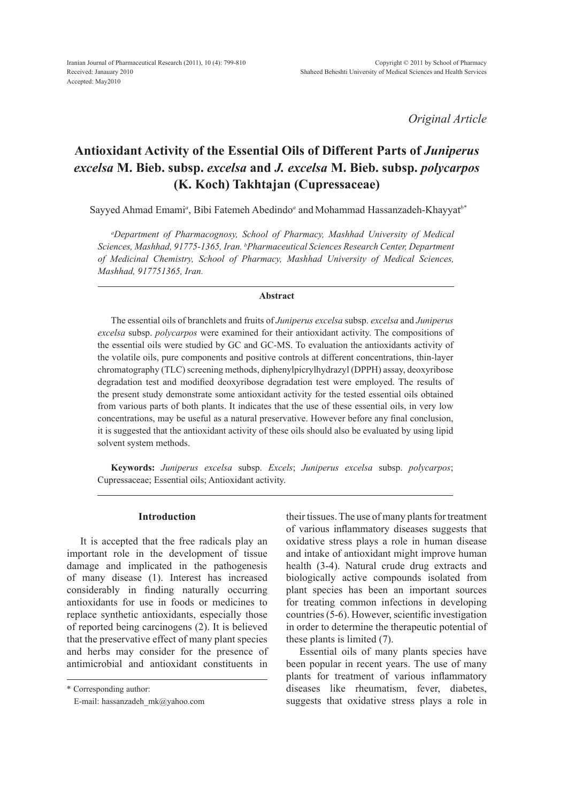*Original Article*

# **Antioxidant Activity of the Essential Oils of Different Parts of** *Juniperus excelsa* **M. Bieb. subsp.** *excelsa* **and** *J. excelsa* **M. Bieb. subsp.** *polycarpos* **(K. Koch) Takhtajan (Cupressaceae)**

Sayyed Ahmad Emami<sup>a</sup>, Bibi Fatemeh Abedindo<sup>a</sup> and Mohammad Hassanzadeh-Khayyat<sup>b\*</sup>

*a Department of Pharmacognosy, School of Pharmacy, Mashhad University of Medical Sciences, Mashhad, 91775-1365, Iran. b Pharmaceutical Sciences Research Center, Department of Medicinal Chemistry, School of Pharmacy, Mashhad University of Medical Sciences, Mashhad, 917751365, Iran.*

#### **Abstract**

The essential oils of branchlets and fruits of *Juniperus excelsa* subsp. *excelsa* and *Juniperus excelsa* subsp. *polycarpos* were examined for their antioxidant activity. The compositions of the essential oils were studied by GC and GC-MS. To evaluation the antioxidants activity of the volatile oils, pure components and positive controls at different concentrations, thin-layer chromatography (TLC) screening methods, diphenylpicrylhydrazyl (DPPH) assay, deoxyribose degradation test and modified deoxyribose degradation test were employed. The results of the present study demonstrate some antioxidant activity for the tested essential oils obtained from various parts of both plants. It indicates that the use of these essential oils, in very low concentrations, may be useful as a natural preservative. However before any final conclusion, it is suggested that the antioxidant activity of these oils should also be evaluated by using lipid solvent system methods.

**Keywords:** *Juniperus excelsa* subsp. *Excels*; *Juniperus excelsa* subsp. *polycarpos*; Cupressaceae; Essential oils; Antioxidant activity.

## **Introduction**

It is accepted that the free radicals play an important role in the development of tissue damage and implicated in the pathogenesis of many disease (1). Interest has increased considerably in finding naturally occurring antioxidants for use in foods or medicines to replace synthetic antioxidants, especially those of reported being carcinogens (2). It is believed that the preservative effect of many plant species and herbs may consider for the presence of antimicrobial and antioxidant constituents in

\* Corresponding author:

E-mail: hassanzadeh\_mk@yahoo.com

their tissues. The use of many plants for treatment of various inflammatory diseases suggests that oxidative stress plays a role in human disease and intake of antioxidant might improve human health (3-4). Natural crude drug extracts and biologically active compounds isolated from plant species has been an important sources for treating common infections in developing countries (5-6). However, scientific investigation in order to determine the therapeutic potential of these plants is limited (7).

Essential oils of many plants species have been popular in recent years. The use of many plants for treatment of various inflammatory diseases like rheumatism, fever, diabetes, suggests that oxidative stress plays a role in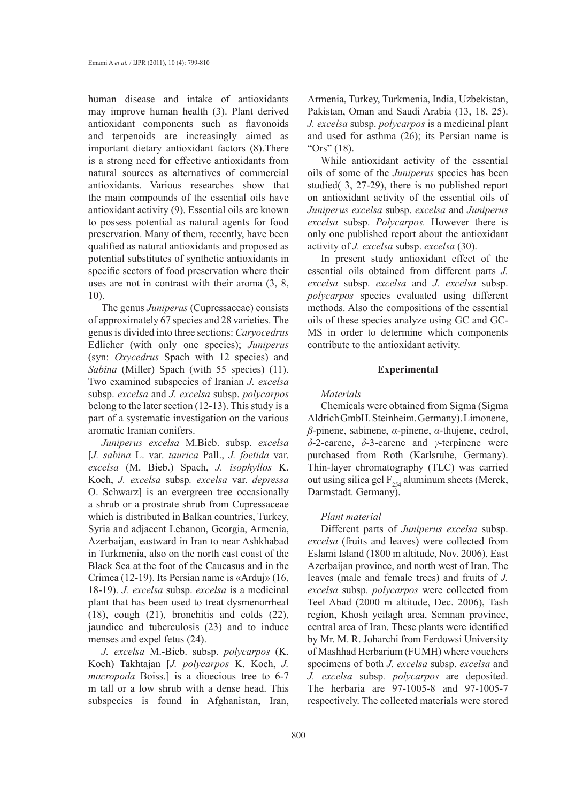human disease and intake of antioxidants may improve human health (3). Plant derived antioxidant components such as flavonoids and terpenoids are increasingly aimed as important dietary antioxidant factors (8).There is a strong need for effective antioxidants from natural sources as alternatives of commercial antioxidants. Various researches show that the main compounds of the essential oils have antioxidant activity (9). Essential oils are known to possess potential as natural agents for food preservation. Many of them, recently, have been qualified as natural antioxidants and proposed as potential substitutes of synthetic antioxidants in specific sectors of food preservation where their uses are not in contrast with their aroma (3, 8, 10).

The genus *Juniperus* (Cupressaceae) consists of approximately 67 species and 28 varieties. The genus is divided into three sections: *Caryocedrus* Edlicher (with only one species); *Juniperus* (syn: *Oxycedrus* Spach with 12 species) and *Sabina* (Miller) Spach (with 55 species) (11). Two examined subspecies of Iranian *J. excelsa* subsp. *excelsa* and *J. excelsa* subsp. *polycarpos* belong to the later section (12-13). This study is a part of a systematic investigation on the various aromatic Iranian conifers.

*Juniperus excelsa* M.Bieb. subsp. *excelsa* [*J. sabina* L. var. *taurica* Pall., *J. foetida* var. *excelsa* (M. Bieb.) Spach, *J. isophyllos* K. Koch, *J. excelsa* subsp*. excelsa* var. *depressa* O. Schwarz] is an evergreen tree occasionally a shrub or a prostrate shrub from Cupressaceae which is distributed in Balkan countries, Turkey, Syria and adjacent Lebanon, Georgia, Armenia, Azerbaijan, eastward in Iran to near Ashkhabad in Turkmenia, also on the north east coast of the Black Sea at the foot of the Caucasus and in the Crimea (12-19). Its Persian name is «Arduj» (16, 18-19). *J. excelsa* subsp. *excelsa* is a medicinal plant that has been used to treat dysmenorrheal (18), cough (21), bronchitis and colds (22), jaundice and tuberculosis (23) and to induce menses and expel fetus (24).

*J. excelsa* M.-Bieb. subsp. *polycarpos* (K. Koch) Takhtajan [*J. polycarpos* K. Koch, *J. macropoda* Boiss.] is a dioecious tree to 6-7 m tall or a low shrub with a dense head. This subspecies is found in Afghanistan, Iran, Armenia, Turkey, Turkmenia, India, Uzbekistan, Pakistan, Oman and Saudi Arabia (13, 18, 25). *J. excelsa* subsp. *polycarpos* is a medicinal plant and used for asthma (26); its Persian name is "Ors" (18).

While antioxidant activity of the essential oils of some of the *Juniperus* species has been studied( 3, 27-29), there is no published report on antioxidant activity of the essential oils of *Juniperus excelsa* subsp. *excelsa* and *Juniperus excelsa* subsp. *Polycarpos.* However there is only one published report about the antioxidant activity of *J. excelsa* subsp. *excelsa* (30).

In present study antioxidant effect of the essential oils obtained from different parts *J. excelsa* subsp. *excelsa* and *J. excelsa* subsp. *polycarpos* species evaluated using different methods. Also the compositions of the essential oils of these species analyze using GC and GC-MS in order to determine which components contribute to the antioxidant activity.

#### **Experimental**

#### *Materials*

Chemicals were obtained from Sigma (Sigma Aldrich GmbH. Steinheim. Germany). Limonene, *β*-pinene, sabinene, *α*-pinene, *α*-thujene, cedrol, *δ*-2-carene, *δ*-3-carene and *γ*-terpinene were purchased from Roth (Karlsruhe, Germany). Thin-layer chromatography (TLC) was carried out using silica gel  $F_{254}$  aluminum sheets (Merck, Darmstadt. Germany).

#### *Plant material*

Different parts of *Juniperus excelsa* subsp. *excelsa* (fruits and leaves) were collected from Eslami Island (1800 m altitude, Nov. 2006), East Azerbaijan province, and north west of Iran. The leaves (male and female trees) and fruits of *J. excelsa* subsp*. polycarpos* were collected from Teel Abad (2000 m altitude, Dec. 2006), Tash region, Khosh yeilagh area, Semnan province, central area of Iran. These plants were identified by Mr. M. R. Joharchi from Ferdowsi University of Mashhad Herbarium (FUMH) where vouchers specimens of both *J. excelsa* subsp. *excelsa* and *J. excelsa* subsp*. polycarpos* are deposited. The herbaria are 97-1005-8 and 97-1005-7 respectively. The collected materials were stored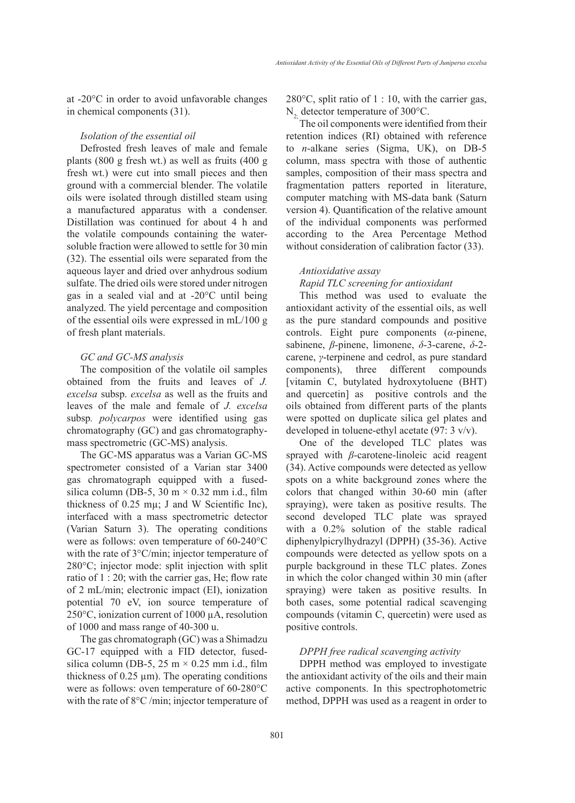at -20°C in order to avoid unfavorable changes in chemical components (31).

#### *Isolation of the essential oil*

Defrosted fresh leaves of male and female plants (800 g fresh wt.) as well as fruits (400 g fresh wt.) were cut into small pieces and then ground with a commercial blender. The volatile oils were isolated through distilled steam using a manufactured apparatus with a condenser. Distillation was continued for about 4 h and the volatile compounds containing the watersoluble fraction were allowed to settle for 30 min (32). The essential oils were separated from the aqueous layer and dried over anhydrous sodium sulfate. The dried oils were stored under nitrogen gas in a sealed vial and at -20°C until being analyzed. The yield percentage and composition of the essential oils were expressed in mL/100 g of fresh plant materials.

#### *GC and GC-MS analysis*

The composition of the volatile oil samples obtained from the fruits and leaves of *J. excelsa* subsp. *excelsa* as well as the fruits and leaves of the male and female of *J. excelsa*  subsp*. polycarpos* were identified using gas chromatography (GC) and gas chromatographymass spectrometric (GC-MS) analysis.

The GC-MS apparatus was a Varian GC-MS spectrometer consisted of a Varian star 3400 gas chromatograph equipped with a fusedsilica column (DB-5, 30 m  $\times$  0.32 mm i.d., film thickness of 0.25 mµ; J and W Scientific Inc), interfaced with a mass spectrometric detector (Varian Saturn 3). The operating conditions were as follows: oven temperature of 60-240°C with the rate of 3°C/min; injector temperature of 280°C; injector mode: split injection with split ratio of 1 : 20; with the carrier gas, He; flow rate of 2 mL/min; electronic impact (EI), ionization potential 70 eV, ion source temperature of 250°C, ionization current of 1000 µA, resolution of 1000 and mass range of 40-300 u.

The gas chromatograph (GC) was a Shimadzu GC-17 equipped with a FID detector, fusedsilica column (DB-5, 25 m  $\times$  0.25 mm i.d., film thickness of  $0.25 \mu m$ ). The operating conditions were as follows: oven temperature of 60-280°C with the rate of 8°C /min; injector temperature of 280 $^{\circ}$ C, split ratio of 1 : 10, with the carrier gas,  $N<sub>2</sub>$ , detector temperature of 300 $^{\circ}$ C.

The oil components were identified from their retention indices (RI) obtained with reference to *n*-alkane series (Sigma, UK), on DB-5 column, mass spectra with those of authentic samples, composition of their mass spectra and fragmentation patters reported in literature, computer matching with MS-data bank (Saturn version 4). Quantification of the relative amount of the individual components was performed according to the Area Percentage Method without consideration of calibration factor (33).

#### *Antioxidative assay*

*Rapid TLC screening for antioxidant*

This method was used to evaluate the antioxidant activity of the essential oils, as well as the pure standard compounds and positive controls. Eight pure components (*α*-pinene, sabinene, *β*-pinene, limonene, *δ*-3-carene, *δ*-2 carene, *γ*-terpinene and cedrol, as pure standard components), three different compounds [vitamin C, butylated hydroxytoluene (BHT) and quercetin] as positive controls and the oils obtained from different parts of the plants were spotted on duplicate silica gel plates and developed in toluene-ethyl acetate (97: 3 v/v).

One of the developed TLC plates was sprayed with *β*-carotene-linoleic acid reagent (34). Active compounds were detected as yellow spots on a white background zones where the colors that changed within 30-60 min (after spraying), were taken as positive results. The second developed TLC plate was sprayed with a 0.2% solution of the stable radical diphenylpicrylhydrazyl (DPPH) (35-36). Active compounds were detected as yellow spots on a purple background in these TLC plates. Zones in which the color changed within 30 min (after spraying) were taken as positive results. In both cases, some potential radical scavenging compounds (vitamin C, quercetin) were used as positive controls.

# *DPPH free radical scavenging activity*

DPPH method was employed to investigate the antioxidant activity of the oils and their main active components. In this spectrophotometric method, DPPH was used as a reagent in order to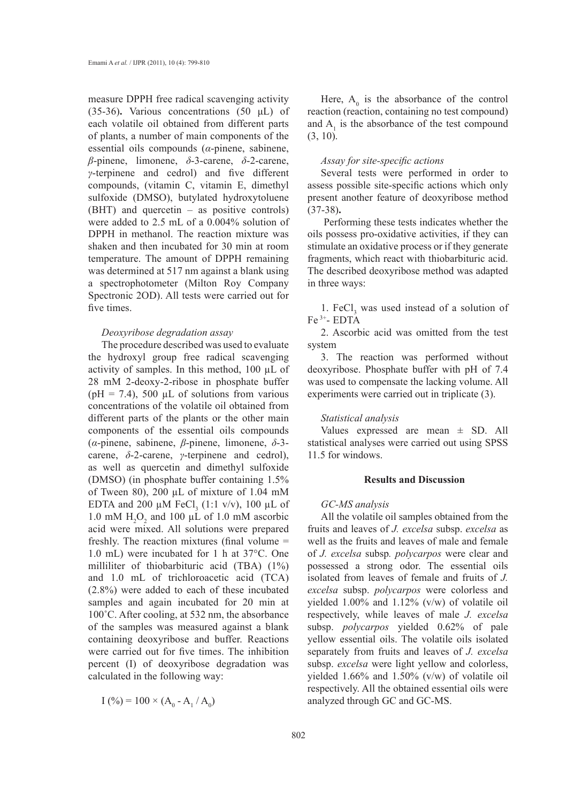measure DPPH free radical scavenging activity (35-36)**.** Various concentrations (50 μL) of each volatile oil obtained from different parts of plants, a number of main components of the essential oils compounds (*α*-pinene, sabinene, *β*-pinene, limonene, *δ*-3-carene, *δ*-2-carene, *γ*-terpinene and cedrol) and five different compounds, (vitamin C, vitamin E, dimethyl sulfoxide (DMSO), butylated hydroxytoluene (BHT) and quercetin – as positive controls) were added to 2.5 mL of a 0.004% solution of DPPH in methanol. The reaction mixture was shaken and then incubated for 30 min at room temperature. The amount of DPPH remaining was determined at 517 nm against a blank using a spectrophotometer (Milton Roy Company Spectronic 2OD). All tests were carried out for five times.

## *Deoxyribose degradation assay*

The procedure described was used to evaluate the hydroxyl group free radical scavenging activity of samples. In this method, 100 µL of 28 mM 2-deoxy-2-ribose in phosphate buffer ( $pH = 7.4$ ), 500 µL of solutions from various concentrations of the volatile oil obtained from different parts of the plants or the other main components of the essential oils compounds (*α*-pinene, sabinene, *β*-pinene, limonene, *δ*-3 carene, *δ*-2-carene, *γ*-terpinene and cedrol), as well as quercetin and dimethyl sulfoxide (DMSO) (in phosphate buffer containing 1.5% of Tween 80), 200 µL of mixture of 1.04 mM EDTA and 200  $\mu$ M FeCl<sub>3</sub> (1:1 v/v), 100  $\mu$ L of 1.0 mM  $H_2O_2$  and 100  $\mu$ L of 1.0 mM ascorbic acid were mixed. All solutions were prepared freshly. The reaction mixtures (final volume = 1.0 mL) were incubated for 1 h at 37°C. One milliliter of thiobarbituric acid (TBA) (1%) and 1.0 mL of trichloroacetic acid (TCA) (2.8%) were added to each of these incubated samples and again incubated for 20 min at 100˚C. After cooling, at 532 nm, the absorbance of the samples was measured against a blank containing deoxyribose and buffer. Reactions were carried out for five times. The inhibition percent (I) of deoxyribose degradation was calculated in the following way:

 $I(%) = 100 \times (A_0 - A_1 / A_0)$ 

Here,  $A_0$  is the absorbance of the control reaction (reaction, containing no test compound) and  $A_1$  is the absorbance of the test compound (3, 10).

#### *Assay for site-specific actions*

Several tests were performed in order to assess possible site-specific actions which only present another feature of deoxyribose method (37-38)**.**

 Performing these tests indicates whether the oils possess pro-oxidative activities, if they can stimulate an oxidative process or if they generate fragments, which react with thiobarbituric acid. The described deoxyribose method was adapted in three ways:

1. FeCl<sub>3</sub> was used instead of a solution of  $Fe<sup>3+</sup>$ - EDTA

2. Ascorbic acid was omitted from the test system

3. The reaction was performed without deoxyribose. Phosphate buffer with pH of 7.4 was used to compensate the lacking volume. All experiments were carried out in triplicate (3).

#### *Statistical analysis*

Values expressed are mean  $\pm$  SD. All statistical analyses were carried out using SPSS 11.5 for windows.

# **Results and Discussion**

#### *GC-MS analysis*

All the volatile oil samples obtained from the fruits and leaves of *J. excelsa* subsp. *excelsa* as well as the fruits and leaves of male and female of *J. excelsa* subsp*. polycarpos* were clear and possessed a strong odor. The essential oils isolated from leaves of female and fruits of *J. excelsa* subsp. *polycarpos* were colorless and yielded 1.00% and 1.12% (v/w) of volatile oil respectively, while leaves of male *J. excelsa*  subsp. *polycarpos* yielded 0.62% of pale yellow essential oils. The volatile oils isolated separately from fruits and leaves of *J. excelsa*  subsp. *excelsa* were light yellow and colorless, yielded 1.66% and 1.50% (v/w) of volatile oil respectively. All the obtained essential oils were analyzed through GC and GC-MS.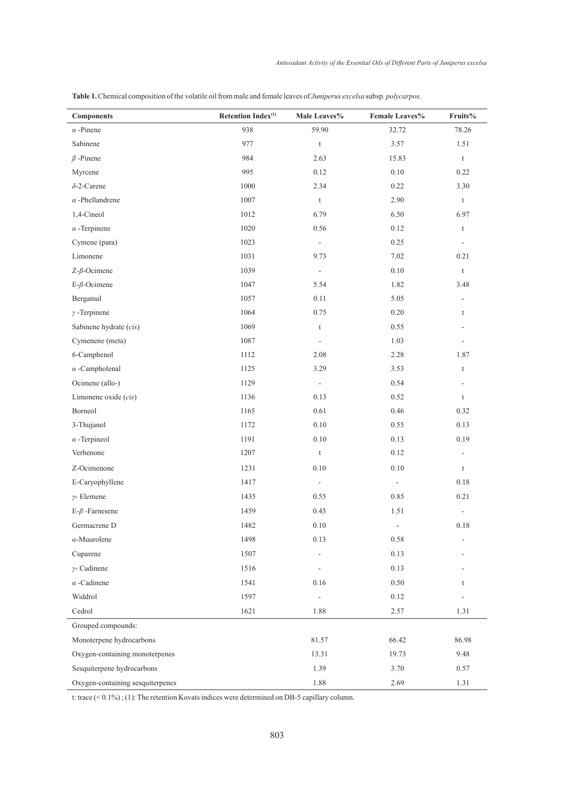| <b>Components</b>                | Retention Index <sup>(1)</sup> | Male Leaves%             | Female Leaves%           | Fruits%                      |
|----------------------------------|--------------------------------|--------------------------|--------------------------|------------------------------|
| $\alpha$ -Pinene                 | 938                            | 59.90                    | 32.72                    | 78.26                        |
| Sabinene                         | 977                            | $\mathsf t$              | 3.57                     | 1.51                         |
| $\beta$ -Pinene                  | 984                            | 2.63                     | 15.83                    | $\mathsf t$                  |
| Myrcene                          | 995                            | 0.12                     | 0.10                     | 0.22                         |
| $\delta$ -2-Carene               | 1000                           | 2.34                     | 0.22                     | 3.30                         |
| $\alpha$ -Phellandrene           | 1007                           | $\mathsf t$              | 2.90                     | t                            |
| 1,4-Cineol                       | 1012                           | 6.79                     | 6.50                     | 6.97                         |
| $\alpha$ -Terpinene              | 1020                           | 0.56                     | 0.12                     | $\mathsf t$                  |
| Cymene (para)                    | 1023                           | $\Box$                   | 0.25                     | $\overline{\phantom{a}}$     |
| Limonene                         | 1031                           | 9.73                     | 7.02                     | 0.21                         |
| $Z$ - $\beta$ -Ocimene           | 1039                           | $\Box$                   | 0.10                     | t                            |
| $E$ - $\beta$ -Ocimene           | 1047                           | 5.54                     | 1.82                     | 3.48                         |
| Bergamal                         | 1057                           | 0.11                     | 5.05                     | ÷,                           |
| $\gamma$ -Terpinene              | 1064                           | 0.75                     | 0.20                     | $\mathfrak{t}$               |
| Sabinene hydrate (cis)           | 1069                           | $\mathsf t$              | 0.55                     |                              |
| Cymenene (meta)                  | 1087                           | $\overline{\phantom{a}}$ | 1.03                     | $\qquad \qquad \blacksquare$ |
| 6-Camphenol                      | 1112                           | 2.08                     | 2.28                     | 1.87                         |
| $\alpha$ -Campholenal            | 1125                           | 3.29                     | 3.53                     | $\mathsf t$                  |
| Ocimene (allo-)                  | 1129                           | $\Box$                   | 0.54                     | ÷,                           |
| Limonene oxide (cis)             | 1136                           | 0.13                     | 0.52                     | $\mathsf t$                  |
| Borneol                          | 1165                           | 0.61                     | 0.46                     | 0.32                         |
| 3-Thujanol                       | 1172                           | 0.10                     | 0.55                     | 0.13                         |
| $\alpha$ -Terpineol              | 1191                           | $0.10\,$                 | 0.13                     | 0.19                         |
| Verbenone                        | 1207                           | $\mathsf t$              | 0.12                     | $\blacksquare$               |
| Z-Ocimenone                      | 1231                           | 0.10                     | 0.10                     | $\mathfrak{t}$               |
| E-Caryophyllene                  | 1417                           | $\overline{\phantom{a}}$ | $\overline{\phantom{a}}$ | 0.18                         |
| $\nu$ - Elemene                  | 1435                           | 0.55                     | 0.85                     | 0.21                         |
| $E-\beta$ -Farnesene             | 1459                           | 0.45                     | 1.51                     | $\overline{\phantom{a}}$     |
| Germacrene D                     | 1482                           | $0.10\,$                 | $\overline{\phantom{a}}$ | 0.18                         |
| $\alpha$ -Muurolene              | 1498                           | 0.13                     | 0.58                     | $\overline{\phantom{m}}$     |
| Cuparene                         | 1507                           | $\overline{\phantom{a}}$ | 0.13                     |                              |
| $\gamma$ - Cadinene              | 1516                           | $\Box$                   | 0.13                     |                              |
| $\alpha$ -Cadinene               | 1541                           | 0.16                     | 0.50                     | t                            |
| Widdrol                          | 1597                           | $\overline{\phantom{a}}$ | 0.12                     | ä,                           |
| Cedrol                           | 1621                           | 1.88                     | 2.57                     | 1.31                         |
| Grouped compounds:               |                                |                          |                          |                              |
| Monoterpene hydrocarbons         |                                | 81.57                    | 66.42                    | 86.98                        |
| Oxygen-containing monoterpenes   |                                | 13.31                    | 19.73                    | 9.48                         |
| Sesquiterpene hydrocarbons       |                                | 1.39                     | 3.70                     | 0.57                         |
| Oxygen-containing sesquiterpenes |                                | 1.88                     | 2.69                     | 1.31                         |

**Table 1.** Chemical composition of the volatile oil from male and female leaves of *Juniperus excelsa* subsp*. polycarpos.*

t: trace (< 0.1%) ; (1): The retention Kovats indices were determined on DB-5 capillary column.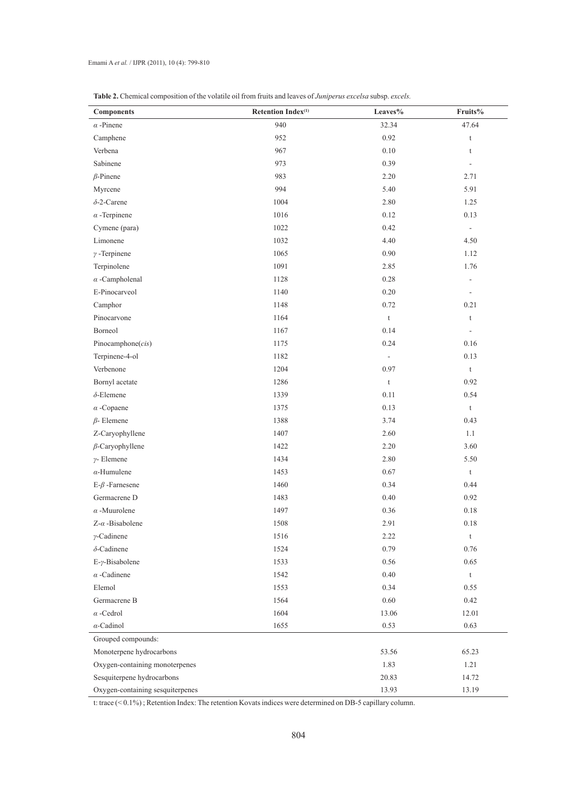| <b>Components</b>                | Retention Index <sup>(1)</sup> | Leaves%                   | Fruits%                      |
|----------------------------------|--------------------------------|---------------------------|------------------------------|
| $\alpha$ -Pinene                 | 940                            | 32.34                     | 47.64                        |
| Camphene                         | 952                            | 0.92                      | $\mathsf t$                  |
| Verbena                          | 967                            | $0.10\,$                  | t                            |
| Sabinene                         | 973                            | 0.39                      | $\overline{\phantom{a}}$     |
| $\beta$ -Pinene                  | 983                            | 2.20                      | 2.71                         |
| Myrcene                          | 994                            | 5.40                      | 5.91                         |
| $\delta$ -2-Carene               | 1004                           | 2.80                      | 1.25                         |
| $\alpha$ -Terpinene              | 1016                           | 0.12                      | 0.13                         |
| Cymene (para)                    | 1022                           | 0.42                      | $\Box$                       |
| Limonene                         | 1032                           | 4.40                      | 4.50                         |
| $\gamma$ -Terpinene              | 1065                           | 0.90                      | 1.12                         |
| Terpinolene                      | 1091                           | 2.85                      | 1.76                         |
| $\alpha$ -Campholenal            | 1128                           | 0.28                      | $\qquad \qquad \blacksquare$ |
| E-Pinocarveol                    | 1140                           | 0.20                      | $\overline{\phantom{a}}$     |
| Camphor                          | 1148                           | 0.72                      | 0.21                         |
| Pinocarvone                      | 1164                           | $\ensuremath{\mathbf{t}}$ | t                            |
| Borneol                          | 1167                           | 0.14                      | $\overline{\phantom{a}}$     |
| Pinocamphone $(cis)$             | 1175                           | 0.24                      | 0.16                         |
| Terpinene-4-ol                   | 1182                           | $\overline{\phantom{a}}$  | 0.13                         |
| Verbenone                        | 1204                           | 0.97                      | $\mathsf t$                  |
| Bornyl acetate                   | 1286                           | $\ensuremath{\mathbf{t}}$ | 0.92                         |
| $\delta$ -Elemene                | 1339                           | 0.11                      | 0.54                         |
| $\alpha$ -Copaene                | 1375                           | 0.13                      | t                            |
| $\beta$ - Elemene                | 1388                           | 3.74                      | 0.43                         |
| Z-Caryophyllene                  | 1407                           | 2.60                      | 1.1                          |
| $\beta$ -Caryophyllene           | 1422                           | 2.20                      | 3.60                         |
| $\gamma$ - Elemene               | 1434                           | 2.80                      | 5.50                         |
| $\alpha$ -Humulene               | 1453                           | $0.67\,$                  | $\mathfrak{t}$               |
| $E-\beta$ -Farnesene             | 1460                           | 0.34                      | 0.44                         |
| Germacrene D                     | 1483                           | $0.40\,$                  | 0.92                         |
| $\alpha$ -Muurolene              | 1497                           | 0.36                      | 0.18                         |
| $Z-\alpha$ -Bisabolene           | 1508                           | 2.91                      | 0.18                         |
| $\gamma$ -Cadinene               | 1516                           | 2.22                      | $\mathsf t$                  |
| $\delta$ -Cadinene               | 1524                           | 0.79                      | 0.76                         |
| E-γ-Bisabolene                   | 1533                           | 0.56                      | 0.65                         |
| $\alpha$ -Cadinene               | 1542                           | 0.40                      | $\mathsf t$                  |
| Elemol                           | 1553                           | 0.34                      | 0.55                         |
| Germacrene B                     | 1564                           | 0.60                      | 0.42                         |
| $\alpha$ -Cedrol                 | 1604                           | 13.06                     | 12.01                        |
| $\alpha$ -Cadinol                | 1655                           | 0.53                      | 0.63                         |
| Grouped compounds:               |                                |                           |                              |
| Monoterpene hydrocarbons         |                                | 53.56                     | 65.23                        |
| Oxygen-containing monoterpenes   |                                | 1.83                      | 1.21                         |
| Sesquiterpene hydrocarbons       |                                | 20.83                     | 14.72                        |
| Oxygen-containing sesquiterpenes |                                | 13.93                     | 13.19                        |

| <b>Table 2.</b> Chemical composition of the volatile oil from fruits and leaves of <i>Juniperus excelsa</i> subsp. <i>excels.</i> |  |
|-----------------------------------------------------------------------------------------------------------------------------------|--|
|-----------------------------------------------------------------------------------------------------------------------------------|--|

t: trace (< 0.1%) ; Retention Index: The retention Kovats indices were determined on DB-5 capillary column.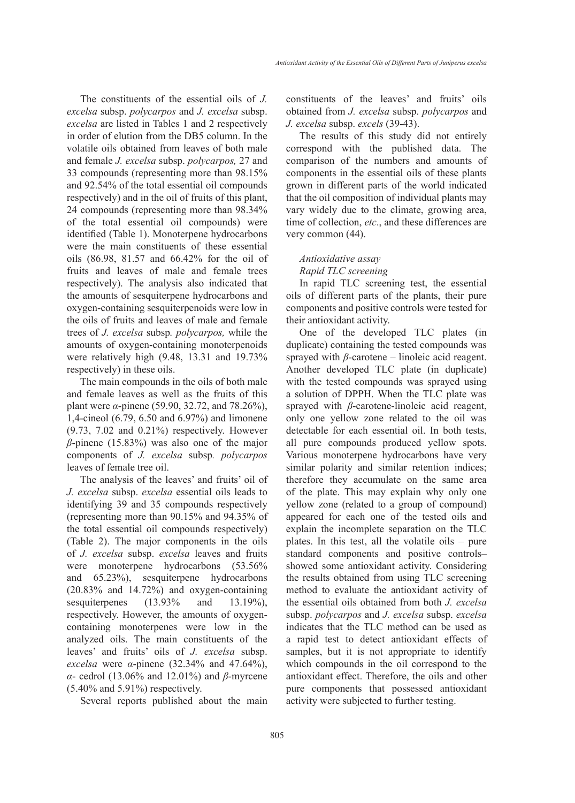The constituents of the essential oils of *J. excelsa* subsp. *polycarpos* and *J. excelsa* subsp. *excelsa* are listed in Tables 1 and 2 respectively in order of elution from the DB5 column. In the volatile oils obtained from leaves of both male and female *J. excelsa* subsp. *polycarpos,* 27 and 33 compounds (representing more than 98.15% and 92.54% of the total essential oil compounds respectively) and in the oil of fruits of this plant, 24 compounds (representing more than 98.34% of the total essential oil compounds) were identified (Table 1). Monoterpene hydrocarbons were the main constituents of these essential oils (86.98, 81.57 and 66.42% for the oil of fruits and leaves of male and female trees respectively). The analysis also indicated that the amounts of sesquiterpene hydrocarbons and oxygen-containing sesquiterpenoids were low in the oils of fruits and leaves of male and female trees of *J. excelsa* subsp*. polycarpos,* while the amounts of oxygen-containing monoterpenoids were relatively high (9.48, 13.31 and 19.73% respectively) in these oils.

The main compounds in the oils of both male and female leaves as well as the fruits of this plant were *α*-pinene (59.90, 32.72, and 78.26%), 1,4-cineol (6.79, 6.50 and 6.97%) and limonene (9.73, 7.02 and 0.21%) respectively. However *β*-pinene (15.83%) was also one of the major components of *J. excelsa* subsp*. polycarpos* leaves of female tree oil.

The analysis of the leaves' and fruits' oil of *J. excelsa* subsp. *excelsa* essential oils leads to identifying 39 and 35 compounds respectively (representing more than 90.15% and 94.35% of the total essential oil compounds respectively) (Table 2). The major components in the oils of *J. excelsa* subsp. *excelsa* leaves and fruits were monoterpene hydrocarbons (53.56% and 65.23%), sesquiterpene hydrocarbons (20.83% and 14.72%) and oxygen-containing sesquiterpenes (13.93% and 13.19%), respectively. However, the amounts of oxygencontaining monoterpenes were low in the analyzed oils. The main constituents of the leaves' and fruits' oils of *J. excelsa* subsp. *excelsa* were *α*-pinene (32.34% and 47.64%), *α*- cedrol (13.06% and 12.01%) and *β*-myrcene (5.40% and 5.91%) respectively.

Several reports published about the main

constituents of the leaves' and fruits' oils obtained from *J. excelsa* subsp. *polycarpos* and *J. excelsa* subsp. *excels* (39-43).

The results of this study did not entirely correspond with the published data. The comparison of the numbers and amounts of components in the essential oils of these plants grown in different parts of the world indicated that the oil composition of individual plants may vary widely due to the climate, growing area, time of collection, *etc*., and these differences are very common (44).

# *Antioxidative assay*

# *Rapid TLC screening*

In rapid TLC screening test, the essential oils of different parts of the plants, their pure components and positive controls were tested for their antioxidant activity.

One of the developed TLC plates (in duplicate) containing the tested compounds was sprayed with  $\beta$ -carotene – linoleic acid reagent. Another developed TLC plate (in duplicate) with the tested compounds was sprayed using a solution of DPPH. When the TLC plate was sprayed with *β*-carotene-linoleic acid reagent, only one yellow zone related to the oil was detectable for each essential oil. In both tests, all pure compounds produced yellow spots. Various monoterpene hydrocarbons have very similar polarity and similar retention indices; therefore they accumulate on the same area of the plate. This may explain why only one yellow zone (related to a group of compound) appeared for each one of the tested oils and explain the incomplete separation on the TLC plates. In this test, all the volatile oils – pure standard components and positive controls– showed some antioxidant activity. Considering the results obtained from using TLC screening method to evaluate the antioxidant activity of the essential oils obtained from both *J. excelsa*  subsp. *polycarpos* and *J. excelsa* subsp. *excelsa*  indicates that the TLC method can be used as a rapid test to detect antioxidant effects of samples, but it is not appropriate to identify which compounds in the oil correspond to the antioxidant effect. Therefore, the oils and other pure components that possessed antioxidant activity were subjected to further testing.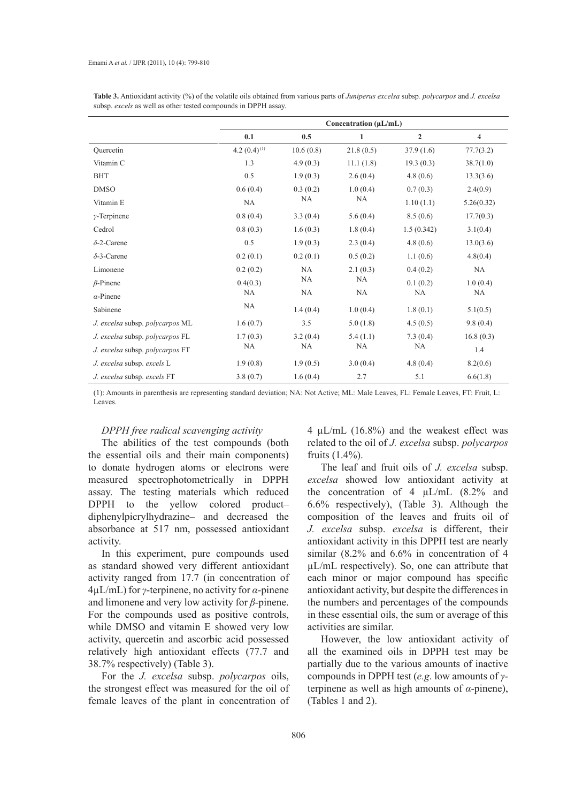|                                 | Concentration (µL/mL) |           |              |                |                |  |
|---------------------------------|-----------------------|-----------|--------------|----------------|----------------|--|
|                                 | 0.1                   | 0.5       | $\mathbf{1}$ | $\overline{2}$ | $\overline{4}$ |  |
| Ouercetin                       | 4.2 $(0.4)^{(1)}$     | 10.6(0.8) | 21.8(0.5)    | 37.9(1.6)      | 77.7(3.2)      |  |
| Vitamin C                       | 1.3                   | 4.9(0.3)  | 11.1(1.8)    | 19.3(0.3)      | 38.7(1.0)      |  |
| <b>BHT</b>                      | 0.5                   | 1.9(0.3)  | 2.6(0.4)     | 4.8(0.6)       | 13.3(3.6)      |  |
| <b>DMSO</b>                     | 0.6(0.4)              | 0.3(0.2)  | 1.0(0.4)     | 0.7(0.3)       | 2.4(0.9)       |  |
| Vitamin E                       | <b>NA</b>             | <b>NA</b> | <b>NA</b>    | 1.10(1.1)      | 5.26(0.32)     |  |
| $\gamma$ -Terpinene             | 0.8(0.4)              | 3.3(0.4)  | 5.6(0.4)     | 8.5(0.6)       | 17.7(0.3)      |  |
| Cedrol                          | 0.8(0.3)              | 1.6(0.3)  | 1.8(0.4)     | 1.5(0.342)     | 3.1(0.4)       |  |
| $\delta$ -2-Carene              | 0.5                   | 1.9(0.3)  | 2.3(0.4)     | 4.8(0.6)       | 13.0(3.6)      |  |
| $\delta$ -3-Carene              | 0.2(0.1)              | 0.2(0.1)  | 0.5(0.2)     | 1.1(0.6)       | 4.8(0.4)       |  |
| Limonene                        | 0.2(0.2)              | NA        | 2.1(0.3)     | 0.4(0.2)       | NA             |  |
| $\beta$ -Pinene                 | 0.4(0.3)              | <b>NA</b> | NA           | 0.1(0.2)       | 1.0(0.4)       |  |
| $\alpha$ -Pinene                | <b>NA</b>             | <b>NA</b> | <b>NA</b>    | <b>NA</b>      | <b>NA</b>      |  |
| Sabinene                        | NA                    | 1.4(0.4)  | 1.0(0.4)     | 1.8(0.1)       | 5.1(0.5)       |  |
| J. excelsa subsp. polycarpos ML | 1.6(0.7)              | 3.5       | 5.0(1.8)     | 4.5(0.5)       | 9.8(0.4)       |  |
| J. excelsa subsp. polycarpos FL | 1.7(0.3)              | 3.2(0.4)  | 5.4(1.1)     | 7.3(0.4)       | 16.8(0.3)      |  |
| J. excelsa subsp. polycarpos FT | <b>NA</b>             | NA        | <b>NA</b>    | NA             | 1.4            |  |
| J. excelsa subsp. excels L      | 1.9(0.8)              | 1.9(0.5)  | 3.0(0.4)     | 4.8(0.4)       | 8.2(0.6)       |  |
| J. excelsa subsp. excels FT     | 3.8(0.7)              | 1.6(0.4)  | 2.7          | 5.1            | 6.6(1.8)       |  |

**Table 3.** Antioxidant activity (%) of the volatile oils obtained from various parts of *Juniperus excelsa* subsp*. polycarpos* and *J. excelsa*  subsp. *excels* as well as other tested compounds in DPPH assay.

(1): Amounts in parenthesis are representing standard deviation; NA: Not Active; ML: Male Leaves, FL: Female Leaves, FT: Fruit, L: Leaves.

#### *DPPH free radical scavenging activity*

The abilities of the test compounds (both the essential oils and their main components) to donate hydrogen atoms or electrons were measured spectrophotometrically in DPPH assay. The testing materials which reduced DPPH to the yellow colored product– diphenylpicrylhydrazine– and decreased the absorbance at 517 nm, possessed antioxidant activity.

In this experiment, pure compounds used as standard showed very different antioxidant activity ranged from 17.7 (in concentration of 4µL/mL) for *γ*-terpinene, no activity for *α*-pinene and limonene and very low activity for *β*-pinene. For the compounds used as positive controls, while DMSO and vitamin E showed very low activity, quercetin and ascorbic acid possessed relatively high antioxidant effects (77.7 and 38.7% respectively) (Table 3).

For the *J. excelsa* subsp. *polycarpos* oils, the strongest effect was measured for the oil of female leaves of the plant in concentration of 4  $\mu$ L/mL (16.8%) and the weakest effect was related to the oil of *J. excelsa* subsp. *polycarpos* fruits (1.4%).

The leaf and fruit oils of *J. excelsa* subsp. *excelsa* showed low antioxidant activity at the concentration of 4 µL/mL (8.2% and 6.6% respectively), (Table 3). Although the composition of the leaves and fruits oil of *J. excelsa* subsp. *excelsa* is different, their antioxidant activity in this DPPH test are nearly similar (8.2% and 6.6% in concentration of 4 µL/mL respectively). So, one can attribute that each minor or major compound has specific antioxidant activity, but despite the differences in the numbers and percentages of the compounds in these essential oils, the sum or average of this activities are similar.

However, the low antioxidant activity of all the examined oils in DPPH test may be partially due to the various amounts of inactive compounds in DPPH test (*e.g*. low amounts of *γ*terpinene as well as high amounts of *α*-pinene), (Tables 1 and 2).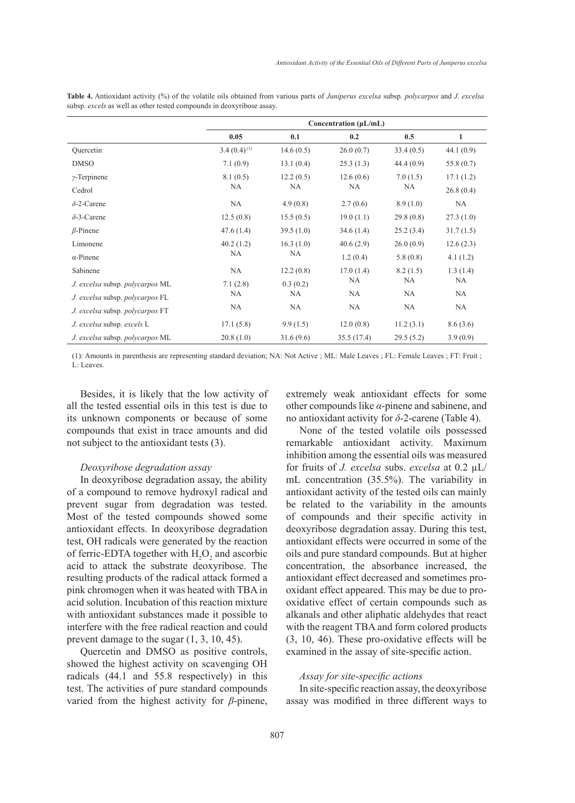|                                 | Concentration $(\mu L/mL)$ |                 |                 |                |           |
|---------------------------------|----------------------------|-----------------|-----------------|----------------|-----------|
|                                 | 0.05                       | 0.1             | 0.2             | 0.5            | 1         |
| Ouercetin                       | $3.4(0.4)^{(1)}$           | 14.6(0.5)       | 26.0(0.7)       | 33.4(0.5)      | 44.1(0.9) |
| <b>DMSO</b>                     | 7.1(0.9)                   | 13.1(0.4)       | 25.3(1.3)       | 44.4(0.9)      | 55.8(0.7) |
| $\gamma$ -Terpinene             | 8.1(0.5)                   | 12.2(0.5)<br>NA | 12.6(0.6)<br>NA | 7.0(1.5)<br>NA | 17.1(1.2) |
| Cedrol                          | NA                         |                 |                 |                | 26.8(0.4) |
| $\delta$ -2-Carene              | <b>NA</b>                  | 4.9(0.8)        | 2.7(0.6)        | 8.9(1.0)       | <b>NA</b> |
| $\delta$ -3-Carene              | 12.5(0.8)                  | 15.5(0.5)       | 19.0(1.1)       | 29.8(0.8)      | 27.3(1.0) |
| $\beta$ -Pinene                 | 47.6(1.4)                  | 39.5(1.0)       | 34.6(1.4)       | 25.2(3.4)      | 31.7(1.5) |
| Limonene                        | 40.2(1.2)                  | 16.3(1.0)       | 40.6(2.9)       | 26.0(0.9)      | 12.6(2.3) |
| $\alpha$ -Pinene                | <b>NA</b>                  | NA              | 1.2(0.4)        | 5.8(0.8)       | 4.1(1.2)  |
| Sabinene                        | <b>NA</b>                  | 12.2(0.8)       | 17.0(1.4)       | 8.2(1.5)       | 1.3(1.4)  |
| J. excelsa subsp. polycarpos ML | 7.1(2.8)                   | 0.3(0.2)        | NA              | NA.            | NA.       |
| J. excelsa subsp. polycarpos FL | <b>NA</b>                  | NA              | <b>NA</b>       | <b>NA</b>      | <b>NA</b> |
| J. excelsa subsp. polycarpos FT | NA                         | NA              | <b>NA</b>       | NA             | <b>NA</b> |
| J. excelsa subsp. excels L.     | 17.1(5.8)                  | 9.9(1.5)        | 12.0(0.8)       | 11.2(3.1)      | 8.6(3.6)  |
| J. excelsa subsp. polycarpos ML | 20.8(1.0)                  | 31.6(9.6)       | 35.5(17.4)      | 29.5(5.2)      | 3.9(0.9)  |

**Table 4.** Antioxidant activity (%) of the volatile oils obtained from various parts of *Juniperus excelsa* subsp*. polycarpos* and *J. excelsa*  subsp. *excels* as well as other tested compounds in deoxyribose assay.

(1): Amounts in parenthesis are representing standard deviation; NA: Not Active ; ML: Male Leaves ; FL: Female Leaves ; FT: Fruit ; L: Leaves.

Besides, it is likely that the low activity of all the tested essential oils in this test is due to its unknown components or because of some compounds that exist in trace amounts and did not subject to the antioxidant tests (3).

## *Deoxyribose degradation assay*

In deoxyribose degradation assay, the ability of a compound to remove hydroxyl radical and prevent sugar from degradation was tested. Most of the tested compounds showed some antioxidant effects. In deoxyribose degradation test, OH radicals were generated by the reaction of ferric-EDTA together with  $H_2O_2$  and ascorbic acid to attack the substrate deoxyribose. The resulting products of the radical attack formed a pink chromogen when it was heated with TBA in acid solution. Incubation of this reaction mixture with antioxidant substances made it possible to interfere with the free radical reaction and could prevent damage to the sugar (1, 3, 10, 45).

Quercetin and DMSO as positive controls, showed the highest activity on scavenging OH radicals (44.1 and 55.8 respectively) in this test. The activities of pure standard compounds varied from the highest activity for *β*-pinene, extremely weak antioxidant effects for some other compounds like *α*-pinene and sabinene, and no antioxidant activity for *δ*-2-carene (Table 4).

None of the tested volatile oils possessed remarkable antioxidant activity. Maximum inhibition among the essential oils was measured for fruits of *J. excelsa* subs. *excelsa* at 0.2 µL/ mL concentration (35.5%). The variability in antioxidant activity of the tested oils can mainly be related to the variability in the amounts of compounds and their specific activity in deoxyribose degradation assay. During this test, antioxidant effects were occurred in some of the oils and pure standard compounds. But at higher concentration, the absorbance increased, the antioxidant effect decreased and sometimes prooxidant effect appeared. This may be due to prooxidative effect of certain compounds such as alkanals and other aliphatic aldehydes that react with the reagent TBA and form colored products (3, 10, 46). These pro-oxidative effects will be examined in the assay of site-specific action.

#### *Assay for site-specific actions*

In site-specific reaction assay, the deoxyribose assay was modified in three different ways to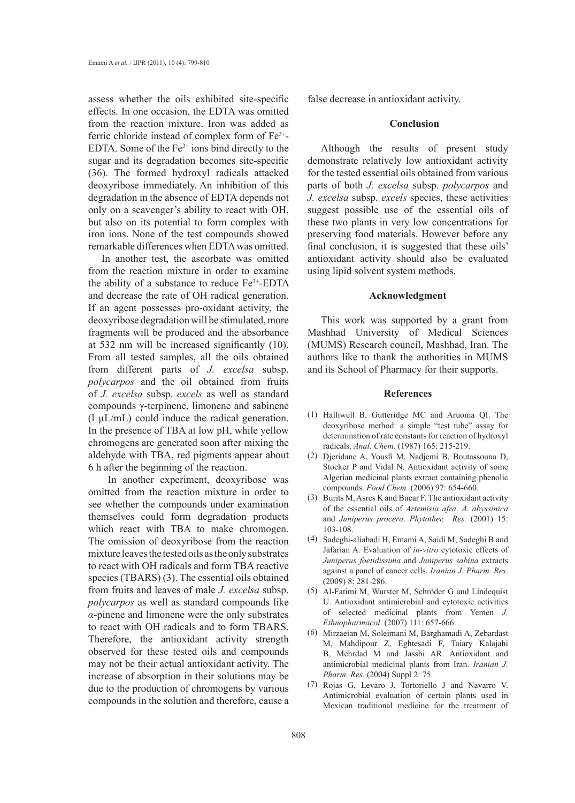assess whether the oils exhibited site-specific effects. In one occasion, the EDTA was omitted from the reaction mixture. Iron was added as ferric chloride instead of complex form of  $Fe<sup>3+</sup>$ -EDTA. Some of the  $Fe<sup>3+</sup>$  ions bind directly to the sugar and its degradation becomes site-specific (36). The formed hydroxyl radicals attacked deoxyribose immediately. An inhibition of this degradation in the absence of EDTA depends not only on a scavenger's ability to react with OH, but also on its potential to form complex with iron ions. None of the test compounds showed remarkable differences when EDTA was omitted.

In another test, the ascorbate was omitted from the reaction mixture in order to examine the ability of a substance to reduce  $Fe<sup>3+</sup>$ -EDTA and decrease the rate of OH radical generation. If an agent possesses pro-oxidant activity, the deoxyribose degradation will be stimulated, more fragments will be produced and the absorbance at 532 nm will be increased significantly (10). From all tested samples, all the oils obtained from different parts of *J. excelsa* subsp. *polycarpos* and the oil obtained from fruits of *J. excelsa* subsp. *excels* as well as standard compounds γ-terpinene, limonene and sabinene  $(l \mu L/mL)$  could induce the radical generation. In the presence of TBA at low pH, while yellow chromogens are generated soon after mixing the aldehyde with TBA, red pigments appear about 6 h after the beginning of the reaction.

 In another experiment, deoxyribose was omitted from the reaction mixture in order to see whether the compounds under examination themselves could form degradation products which react with TBA to make chromogen. The omission of deoxyribose from the reaction mixture leaves the tested oils as the only substrates to react with OH radicals and form TBA reactive species (TBARS) (3). The essential oils obtained from fruits and leaves of male *J. excelsa* subsp. *polycarpos* as well as standard compounds like *α*-pinene and limonene were the only substrates to react with OH radicals and to form TBARS. Therefore, the antioxidant activity strength observed for these tested oils and compounds may not be their actual antioxidant activity. The increase of absorption in their solutions may be due to the production of chromogens by various compounds in the solution and therefore, cause a false decrease in antioxidant activity.

# **Conclusion**

Although the results of present study demonstrate relatively low antioxidant activity for the tested essential oils obtained from various parts of both *J. excelsa* subsp. *polycarpos* and *J. excelsa* subsp. *excels* species, these activities suggest possible use of the essential oils of these two plants in very low concentrations for preserving food materials. However before any final conclusion, it is suggested that these oils' antioxidant activity should also be evaluated using lipid solvent system methods.

# **Acknowledgment**

This work was supported by a grant from Mashhad University of Medical Sciences (MUMS) Research council, Mashhad, Iran. The authors like to thank the authorities in MUMS and its School of Pharmacy for their supports.

## **References**

- (1) Halliwell B, Gutteridge MC and Aruoma QI. The deoxyribose method: a simple "test tube" assay for determination of rate constants for reaction of hydroxyl radicals. *Anal. Chem.* (1987) 165: 215-219.
- Djeridane A, Yousfi M, Nadjemi B, Boutassouna D, (2) Stocker P and Vidal N. Antioxidant activity of some Algerian medicinal plants extract containing phenolic compounds. *Food Chem.* (2006) 97: 654-660.
- $(3)$  Burits M, Asres K and Bucar F. The antioxidant activity of the essential oils of *Artemisia afra, A. abyssinica*  and *Juniperus procera*. *Phytother. Res.* (2001) 15: 103-108.
- Sadeghi-aliabadi H, Emami A, Saidi M, Sadeghi B and (4) Jafarian A. Evaluation of *in-vitro* cytotoxic effects of *Juniperus foetidissima* and *Juniperus sabina* extracts against a panel of cancer cells. *Iranian J. Pharm. Res*. (2009) 8: 281-286.
- Al-Fatimi M, Wurster M, Schröder G and Lindequist (5) U. Antioxidant antimicrobial and cytotoxic activities of selected medicinal plants from Yemen *J. Ethnopharmacol*. (2007) 111: 657-666.
- (6) Mirzaeian M, Soleimani M, Barghamadi A, Zebardast M, Mahdipour Z, Eghtesadi F, Taiary Kalajahi B, Mehrdad M and Jassbi AR. Antioxidant and antimicrobial medicinal plants from Iran. *Iranian J. Pharm. Res*. (2004) Suppl 2: 75.
- Rojas G, Levaro J, Tortoriello J and Navarro V. Antimicrobial evaluation of certain plants used in Mexican traditional medicine for the treatment of (7)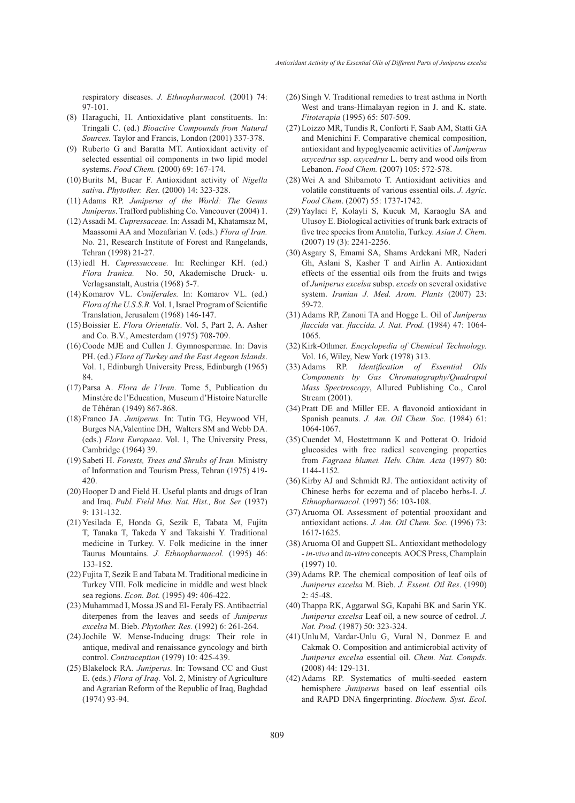respiratory diseases. *J. Ethnopharmacol.* (2001) 74: 97-101.

- (8) Haraguchi, H. Antioxidative plant constituents. In: Tringali C. (ed.) *Bioactive Compounds from Natural Sources.* Taylor and Francis, London (2001) 337-378.
- (9) Ruberto G and Baratta MT. Antioxidant activity of selected essential oil components in two lipid model systems. *Food Chem.* (2000) 69: 167-174.
- (10) Burits M, Bucar F. Antioxidant activity of *Nigella sativa*. *Phytother. Res.* (2000) 14: 323-328.
- Adams RP. *Juniperus of the World: The Genus*  (11) *Juniperus*. Trafford publishing Co. Vancouver (2004) 1.
- Assadi M. *Cupressaceae.* In: Assadi M, Khatamsaz M, (12) Maassomi AA and Mozafarian V. (eds.) *Flora of Iran.*  No. 21, Research Institute of Forest and Rangelands, Tehran (1998) 21-27.
- (13) iedl H. *Cupressucceae*. In: Rechinger KH. (ed.) *Flora Iranica.* No. 50, Akademische Druck- u. Verlagsanstalt, Austria (1968) 5-7.
- (14) Komarov VL. Coniferales. In: Komarov VL. (ed.) *Flora of the U.S.S.R.* Vol. 1, Israel Program of Scientific Translation, Jerusalem (1968) 146-147.
- Boissier E. *Flora Orientalis*. Vol. 5, Part 2, A. Asher (15) and Co. B.V., Amesterdam (1975) 708-709.
- (16) Coode MJE and Cullen J. Gymnospermae. In: Davis PH. (ed.) *Flora of Turkey and the East Aegean Islands*. Vol. 1, Edinburgh University Press, Edinburgh (1965) 84.
- Parsa A. *Flora de l'Iran*. Tome 5, Publication du (17) Minstére de l'Education, Museum d'Histoire Naturelle de Téhéran (1949) 867-868.
- (18) Franco JA. *Juniperus*. In: Tutin TG, Heywood VH, Burges NA,Valentine DH, Walters SM and Webb DA. (eds.) *Flora Europaea*. Vol. 1, The University Press, Cambridge (1964) 39.
- (19) Sabeti H. *Forests, Trees and Shrubs of Iran*. Ministry of Information and Tourism Press, Tehran (1975) 419- 420.
- (20) Hooper D and Field H. Useful plants and drugs of Iran and Iraq. *Publ. Field Mus. Nat. Hist., Bot. Ser.* (1937)  $9.131 - 132$
- (21) Yesilada E, Honda G, Sezik E, Tabata M, Fujita T, Tanaka T, Takeda Y and Takaishi Y. Traditional medicine in Turkey. V. Folk medicine in the inner Taurus Mountains. *J. Ethnopharmacol.* (1995) 46: 133-152.
- (22) Fujita T, Sezik E and Tabata M. Traditional medicine in Turkey VIIl. Folk medicine in middle and west black sea regions. *Econ. Bot.* (1995) 49: 406-422.
- (23) Muhammad I, Mossa JS and El-Feraly FS. Antibactrial diterpenes from the leaves and seeds of *Juniperus excelsa* M. Bieb. *Phytother. Res.* (1992) 6: 261-264.
- (24) Jochile W. Mense-Inducing drugs: Their role in antique, medival and renaissance gyncology and birth control. *Contraception* (1979) 10: 425-439.
- (25) Blakelock RA. *Juniperus*. In: Towsand CC and Gust E. (eds.) *Flora of Iraq.* Vol. 2, Ministry of Agriculture and Agrarian Reform of the Republic of Iraq, Baghdad (1974) 93-94.
- $(26)$  Singh V. Traditional remedies to treat asthma in North West and trans-Himalayan region in J. and K. state. *Fitoterapia* (1995) 65: 507-509.
- Loizzo MR, Tundis R, Conforti F, Saab AM, Statti GA (27) and Menichini F. Comparative chemical composition, antioxidant and hypoglycaemic activities of *Juniperus oxycedrus* ssp. *oxycedrus* L. berry and wood oils from Lebanon. *Food Chem.* (2007) 105: 572-578.
- Wei A and Shibamoto T. Antioxidant activities and (28) volatile constituents of various essential oils. *J. Agric. Food Chem*. (2007) 55: 1737-1742.
- (29) Yaylaci F, Kolayli S, Kucuk M, Karaoglu SA and Ulusoy E. Biological activities of trunk bark extracts of five tree species from Anatolia, Turkey. *Asian J. Chem.* (2007) 19 (3): 2241-2256.
- (30) Asgary S, Emami SA, Shams Ardekani MR, Naderi Gh, Aslani S, Kasher T and Airlin A. Antioxidant effects of the essential oils from the fruits and twigs of *Juniperus excelsa* subsp. *excels* on several oxidative system. *Iranian J. Med. Arom. Plants* (2007) 23: 59-72.
- Adams RP, Zanoni TA and Hogge L. Oil of *Juniperus*  (31) *flaccida* var*. flaccida. J. Nat. Prod.* (1984) 47: 1064- 1065.
- (32) Kirk-Othmer. *Encyclopedia of Chemical Technology*. Vol. 16, Wiley, New York (1978) 313.
- Adams RP. *Identification of Essential Oils*  (33) *Components by Gas Chromatography/Quadrapol Mass Spectroscopy*, Allured Publishing Co., Carol Stream (2001).
- (34) Pratt DE and Miller EE. A flavonoid antioxidant in Spanish peanuts. *J. Am. Oil Chem. Soc*. (1984) 61: 1064-1067.
- (35) Cuendet M, Hostettmann K and Potterat O. Iridoid glucosides with free radical scavenging properties from *Fagraea blumei. Helv. Chim. Acta* (1997) 80: 1144-1152.
- (36) Kirby AJ and Schmidt RJ. The antioxidant activity of Chinese herbs for eczema and of placebo herbs-I. *J. Ethnopharmacol.* (1997) 56: 103-108.
- (37) Aruoma OI. Assessment of potential prooxidant and antioxidant actions. *J. Am. Oil Chem. Soc.* (1996) 73: 1617-1625.
- (38) Aruoma OI and Guppett SL. Antioxidant methodology - *in-vivo* and *in-vitro* concepts. AOCS Press, Champlain (1997) 10.
- (39) Adams RP. The chemical composition of leaf oils of *Juniperus excelsa* M. Bieb. *J. Essent. Oil Res*. (1990)  $2: 45-48.$
- (40) Thappa RK, Aggarwal SG, Kapahi BK and Sarin YK. *Juniperus excelsa* Leaf oil, a new source of cedrol. *J. Nat. Prod.* (1987) 50: 323-324.
- $(41)$  Unlu M, Vardar-Unlu G, Vural N, Donmez E and Cakmak O. Composition and antimicrobial activity of *Juniperus excelsa* essential oil. *Chem. Nat. Compds*. (2008) 44: 129-131.
- (42) Adams RP. Systematics of multi-seeded eastern hemisphere *Juniperus* based on leaf essential oils and RAPD DNA fingerprinting. *Biochem. Syst. Ecol.*